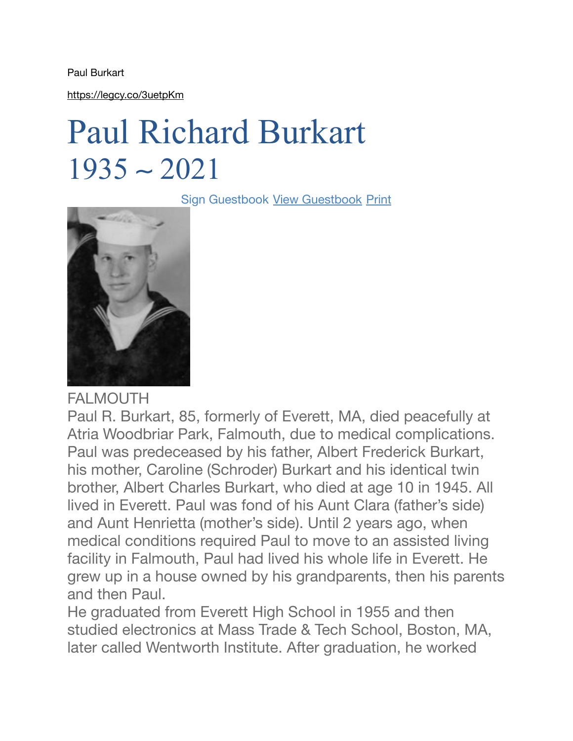Paul Burkart

<https://legcy.co/3uetpKm>

## Paul Richard Burkart 1935 ∼ 2021

Sign Guestbook [View Guestbook](https://www.morrisoconnor.com/obit/comments/paul-richard-burkart) [Print](javascript:void(0);)



## FALMOUTH

Paul R. Burkart, 85, formerly of Everett, MA, died peacefully at Atria Woodbriar Park, Falmouth, due to medical complications. Paul was predeceased by his father, Albert Frederick Burkart, his mother, Caroline (Schroder) Burkart and his identical twin brother, Albert Charles Burkart, who died at age 10 in 1945. All lived in Everett. Paul was fond of his Aunt Clara (father's side) and Aunt Henrietta (mother's side). Until 2 years ago, when medical conditions required Paul to move to an assisted living facility in Falmouth, Paul had lived his whole life in Everett. He grew up in a house owned by his grandparents, then his parents and then Paul.

He graduated from Everett High School in 1955 and then studied electronics at Mass Trade & Tech School, Boston, MA, later called Wentworth Institute. After graduation, he worked